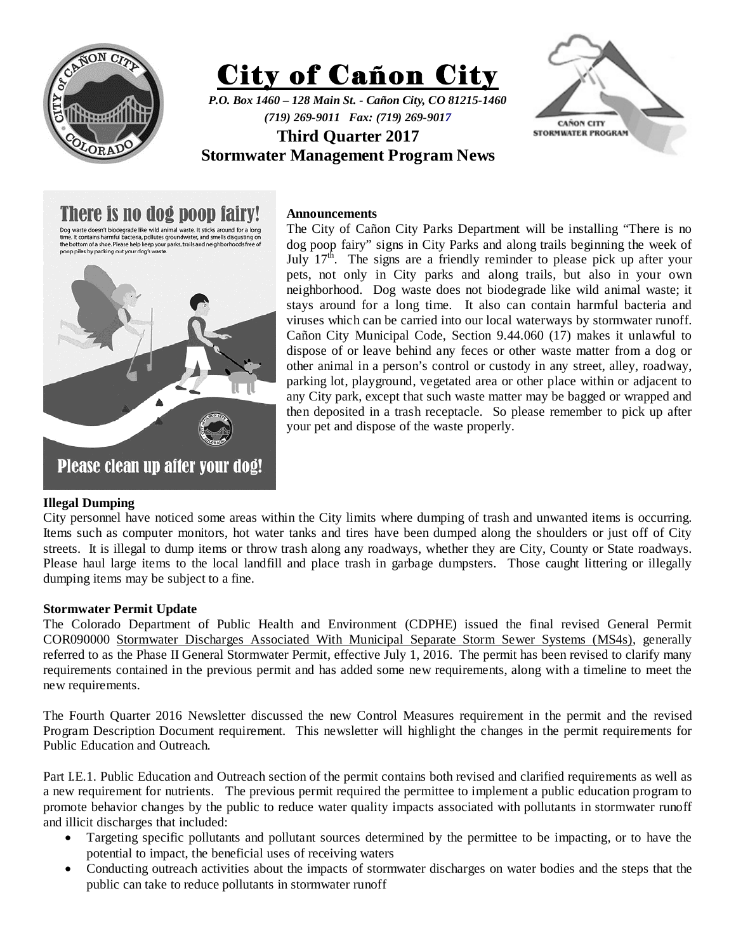





# There is no dog poop fairy! Dog waste doesn't biodegrade like wild animal waste. It sticks around for a long buy was uccessive uncertainty backeting, pollutes groundwater, and smells disgusting or<br>time. It contains harmful bacteria, pollutes groundwater, and smells disgusting or<br>the bottom of a shoe. Please help keep your parks, Please clean up after your dog!

## **Announcements**

The City of Cañon City Parks Department will be installing "There is no dog poop fairy" signs in City Parks and along trails beginning the week of July  $17<sup>th</sup>$ . The signs are a friendly reminder to please pick up after your pets, not only in City parks and along trails, but also in your own neighborhood. Dog waste does not biodegrade like wild animal waste; it stays around for a long time. It also can contain harmful bacteria and viruses which can be carried into our local waterways by stormwater runoff. Cañon City Municipal Code, Section 9.44.060 (17) makes it unlawful to dispose of or leave behind any feces or other waste matter from a dog or other animal in a person's control or custody in any street, alley, roadway, parking lot, playground, vegetated area or other place within or adjacent to any City park, except that such waste matter may be bagged or wrapped and then deposited in a trash receptacle. So please remember to pick up after your pet and dispose of the waste properly.

# **Illegal Dumping**

City personnel have noticed some areas within the City limits where dumping of trash and unwanted items is occurring. Items such as computer monitors, hot water tanks and tires have been dumped along the shoulders or just off of City streets. It is illegal to dump items or throw trash along any roadways, whether they are City, County or State roadways. Please haul large items to the local landfill and place trash in garbage dumpsters. Those caught littering or illegally dumping items may be subject to a fine.

## **Stormwater Permit Update**

The Colorado Department of Public Health and Environment (CDPHE) issued the final revised General Permit COR090000 Stormwater Discharges Associated With Municipal Separate Storm Sewer Systems (MS4s), generally referred to as the Phase II General Stormwater Permit, effective July 1, 2016. The permit has been revised to clarify many requirements contained in the previous permit and has added some new requirements, along with a timeline to meet the new requirements.

The Fourth Quarter 2016 Newsletter discussed the new Control Measures requirement in the permit and the revised Program Description Document requirement. This newsletter will highlight the changes in the permit requirements for Public Education and Outreach.

Part I.E.1. Public Education and Outreach section of the permit contains both revised and clarified requirements as well as a new requirement for nutrients. The previous permit required the permittee to implement a public education program to promote behavior changes by the public to reduce water quality impacts associated with pollutants in stormwater runoff and illicit discharges that included:

- Targeting specific pollutants and pollutant sources determined by the permittee to be impacting, or to have the potential to impact, the beneficial uses of receiving waters
- Conducting outreach activities about the impacts of stormwater discharges on water bodies and the steps that the public can take to reduce pollutants in stormwater runoff